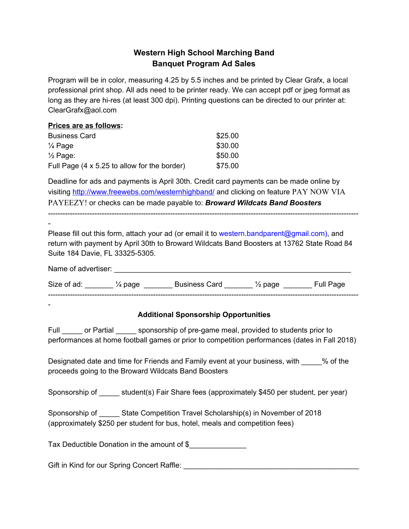## **Western High School Marching Band Banquet Program Ad Sales**

Program will be in color, measuring 4.25 by 5.5 inches and be printed by Clear Grafx, a local professional print shop. All ads need to be printer ready. We can accept pdf or jpeg format as long as they are hi-res (at least 300 dpi). Printing questions can be directed to our printer at: ClearGrafx@aol.com

## **Prices are as follows:** Business Card \$25.00

| $\frac{1}{4}$ Page                                   | \$30.00 |
|------------------------------------------------------|---------|
| $\frac{1}{2}$ Page:                                  | \$50.00 |
| Full Page $(4 \times 5.25)$ to allow for the border) | \$75.00 |

Deadline for ads and payments is April 30th. Credit card payments can be made online by visiting <http://www.freewebs.com/westernhighband/> and [clicking](http://www.freewebs.com/westernhighband/) on feature [PAY NOW VIA](http://www.freewebs.com/westernhighband/) [PAYEEZY!](http://www.freewebs.com/westernhighband/) or checks can be made payable to: *Broward Wildcats Band Boosters*

-------------------------------------------------------------------------------------------------------------------------------

Please fill out this form, attach your ad (or email it to [western.bandparent@gmail.com\)](mailto:western.bandparent@gmail.com), and return with payment by April 30th to Broward Wildcats Band Boosters at 13762 State Road 84 Suite 184 Davie, FL 33325-5305.

| Name of advertiser: |          |                      |                    |           |
|---------------------|----------|----------------------|--------------------|-----------|
| Size of ad:         | 1⁄4 page | <b>Business Card</b> | $\frac{1}{2}$ page | Full Page |
|                     |          |                      |                    |           |

-

-

## **Additional Sponsorship Opportunities**

Full or Partial sponsorship of pre-game meal, provided to students prior to performances at home football games or prior to competition performances (dates in Fall 2018)

Designated date and time for Friends and Family event at your business, with  $\frac{1}{2}$  % of the proceeds going to the Broward Wildcats Band Boosters

Sponsorship of \_\_\_\_\_ student(s) Fair Share fees (approximately \$450 per student, per year)

| Sponsorship of | State Competition Travel Scholarship(s) in November of 2018                  |  |
|----------------|------------------------------------------------------------------------------|--|
|                | (approximately \$250 per student for bus, hotel, meals and competition fees) |  |

Tax Deductible Donation in the amount of \$\_\_\_\_\_\_\_\_\_\_\_\_\_\_

Gift in Kind for our Spring Concert Raffle: \_\_\_\_\_\_\_\_\_\_\_\_\_\_\_\_\_\_\_\_\_\_\_\_\_\_\_\_\_\_\_\_\_\_\_\_\_\_\_\_\_\_\_